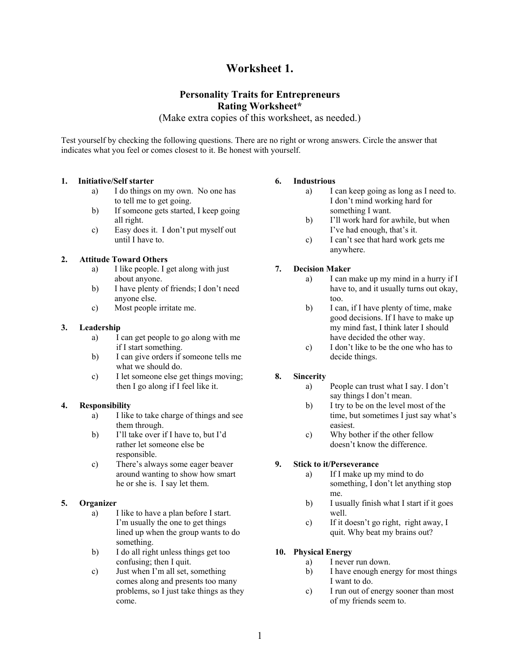# **Worksheet 1.**

# **Personality Traits for Entrepreneurs Rating Worksheet\***

(Make extra copies of this worksheet, as needed.)

Test yourself by checking the following questions. There are no right or wrong answers. Circle the answer that indicates what you feel or comes closest to it. Be honest with yourself.

# **1. Initiative/Self starter**

- a) I do things on my own. No one has to tell me to get going.
- b) If someone gets started, I keep going all right.
- c) Easy does it. I don't put myself out until I have to.

# **2. Attitude Toward Others**

- a) I like people. I get along with just about anyone.
- b) I have plenty of friends; I don't need anyone else.
- c) Most people irritate me.

# **3. Leadership**

- a) I can get people to go along with me if I start something.
- b) I can give orders if someone tells me what we should do.
- c) I let someone else get things moving; then I go along if I feel like it.

# **4. Responsibility**

- a) I like to take charge of things and see them through.
- b) I'll take over if I have to, but I'd rather let someone else be responsible.
- c) There's always some eager beaver around wanting to show how smart he or she is. I say let them.

# **5. Organizer**

- a) I like to have a plan before I start. I'm usually the one to get things lined up when the group wants to do something.
- b) I do all right unless things get too confusing; then I quit.
- c) Just when I'm all set, something comes along and presents too many problems, so I just take things as they come.

# **6. Industrious**

- a) I can keep going as long as I need to. I don't mind working hard for something I want.
- b) I'll work hard for awhile, but when I've had enough, that's it.
- c) I can't see that hard work gets me anywhere.

# **7. Decision Maker**

- a) I can make up my mind in a hurry if I have to, and it usually turns out okay, too.
- b) I can, if I have plenty of time, make good decisions. If I have to make up my mind fast, I think later I should have decided the other way.
- c) I don't like to be the one who has to decide things.

# **8. Sincerity**

- a) People can trust what I say. I don't say things I don't mean.
- b) I try to be on the level most of the time, but sometimes I just say what's easiest.
- c) Why bother if the other fellow doesn't know the difference.

# **9. Stick to it/Perseverance**

- a) If I make up my mind to do something, I don't let anything stop me.
- b) I usually finish what I start if it goes well.
- c) If it doesn't go right, right away, I quit. Why beat my brains out?

# **10. Physical Energy**

- a) I never run down.
- b) I have enough energy for most things I want to do.
- c) I run out of energy sooner than most of my friends seem to.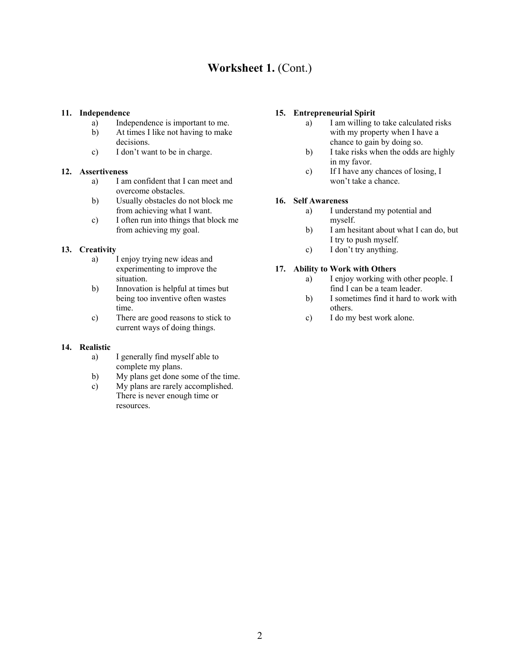# **Worksheet 1.** (Cont.)

#### **11. Independence**

- a) Independence is important to me.
- b) At times I like not having to make decisions.
- c) I don't want to be in charge.

#### **12. Assertiveness**

- a) I am confident that I can meet and overcome obstacles.
- b) Usually obstacles do not block me from achieving what I want.
- c) I often run into things that block me from achieving my goal.

# **13. Creativity**

- a) I enjoy trying new ideas and experimenting to improve the situation.
- b) Innovation is helpful at times but being too inventive often wastes time.
- c) There are good reasons to stick to current ways of doing things.

#### **14. Realistic**

- a) I generally find myself able to complete my plans.
- b) My plans get done some of the time.
- c) My plans are rarely accomplished. There is never enough time or resources.

# **15. Entrepreneurial Spirit**

- a) I am willing to take calculated risks with my property when I have a chance to gain by doing so.
- b) I take risks when the odds are highly in my favor.
- c) If I have any chances of losing, I won't take a chance.

# **16. Self Awareness**

- a) I understand my potential and myself.
- b) I am hesitant about what I can do, but I try to push myself.
- c) I don't try anything.

#### **17. Ability to Work with Others**

- a) I enjoy working with other people. I find I can be a team leader.
- b) I sometimes find it hard to work with others.
- c) I do my best work alone.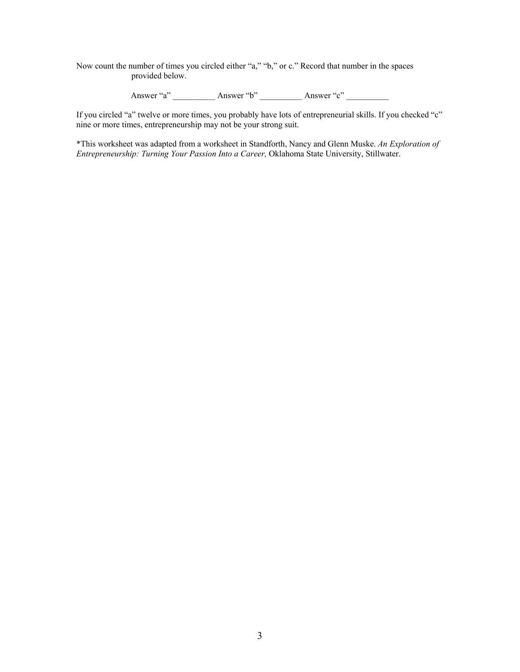Now count the number of times you circled either "a," "b," or c." Record that number in the spaces provided below.

Answer "a" \_\_\_\_\_\_\_\_\_\_\_ Answer "b" \_\_\_\_\_\_\_\_\_\_ Answer "c" \_\_\_\_\_\_\_\_\_\_

If you circled "a" twelve or more times, you probably have lots of entrepreneurial skills. If you checked "c" nine or more times, entrepreneurship may not be your strong suit.

\*This worksheet was adapted from a worksheet in Standforth, Nancy and Glenn Muske. *An Exploration of Entrepreneurship: Turning Your Passion Into a Career,* Oklahoma State University, Stillwater.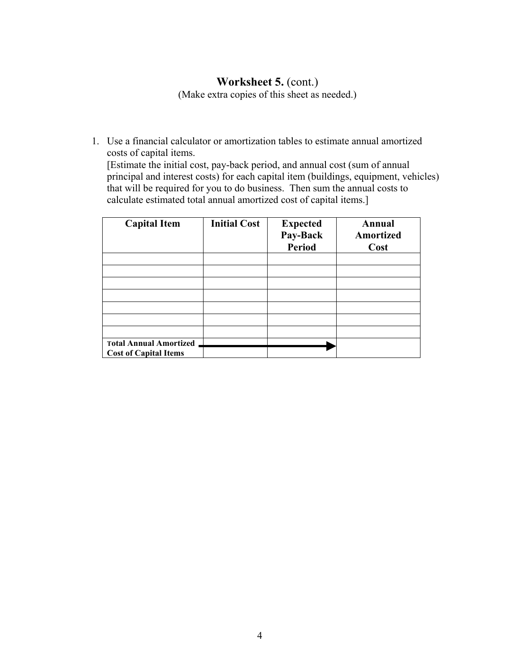# **Worksheet 5.** (cont.)

(Make extra copies of this sheet as needed.)

1. Use a financial calculator or amortization tables to estimate annual amortized costs of capital items.

[Estimate the initial cost, pay-back period, and annual cost (sum of annual principal and interest costs) for each capital item (buildings, equipment, vehicles) that will be required for you to do business. Then sum the annual costs to calculate estimated total annual amortized cost of capital items.]

| <b>Capital Item</b>                                           | <b>Initial Cost</b> | <b>Expected</b><br>Pay-Back<br><b>Period</b> | Annual<br>Amortized<br>Cost |
|---------------------------------------------------------------|---------------------|----------------------------------------------|-----------------------------|
|                                                               |                     |                                              |                             |
|                                                               |                     |                                              |                             |
|                                                               |                     |                                              |                             |
|                                                               |                     |                                              |                             |
|                                                               |                     |                                              |                             |
|                                                               |                     |                                              |                             |
|                                                               |                     |                                              |                             |
| <b>Total Annual Amortized</b><br><b>Cost of Capital Items</b> |                     |                                              |                             |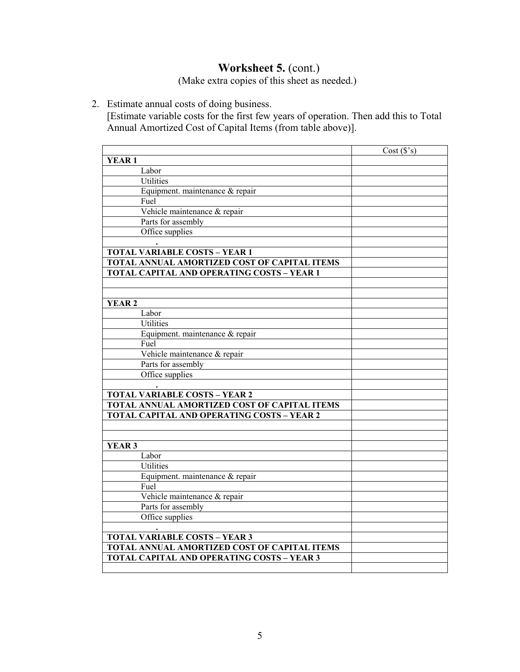# **Worksheet 5.** (cont.)

(Make extra copies of this sheet as needed.)

2. Estimate annual costs of doing business.

[Estimate variable costs for the first few years of operation. Then add this to Total Annual Amortized Cost of Capital Items (from table above)].

|                                                     | Cost(S's) |
|-----------------------------------------------------|-----------|
| <b>YEAR1</b>                                        |           |
| Labor                                               |           |
| Utilities                                           |           |
| Equipment. maintenance & repair                     |           |
| Fuel                                                |           |
| Vehicle maintenance & repair                        |           |
| Parts for assembly                                  |           |
| Office supplies                                     |           |
|                                                     |           |
| <b>TOTAL VARIABLE COSTS - YEAR 1</b>                |           |
| TOTAL ANNUAL AMORTIZED COST OF CAPITAL ITEMS        |           |
| TOTAL CAPITAL AND OPERATING COSTS - YEAR 1          |           |
|                                                     |           |
|                                                     |           |
| <b>YEAR2</b>                                        |           |
| Labor                                               |           |
| <b>Utilities</b>                                    |           |
| Equipment. maintenance & repair                     |           |
| Fuel                                                |           |
| Vehicle maintenance & repair                        |           |
| Parts for assembly                                  |           |
| Office supplies                                     |           |
|                                                     |           |
| <b>TOTAL VARIABLE COSTS - YEAR 2</b>                |           |
| TOTAL ANNUAL AMORTIZED COST OF CAPITAL ITEMS        |           |
| <b>TOTAL CAPITAL AND OPERATING COSTS - YEAR 2</b>   |           |
|                                                     |           |
|                                                     |           |
| YEAR <sub>3</sub>                                   |           |
| Labor                                               |           |
| <b>Utilities</b>                                    |           |
| Equipment. maintenance & repair                     |           |
| Fuel                                                |           |
| Vehicle maintenance & repair                        |           |
| Parts for assembly                                  |           |
| Office supplies                                     |           |
|                                                     |           |
| <b>TOTAL VARIABLE COSTS - YEAR 3</b>                |           |
| <b>TOTAL ANNUAL AMORTIZED COST OF CAPITAL ITEMS</b> |           |
| TOTAL CAPITAL AND OPERATING COSTS - YEAR 3          |           |
|                                                     |           |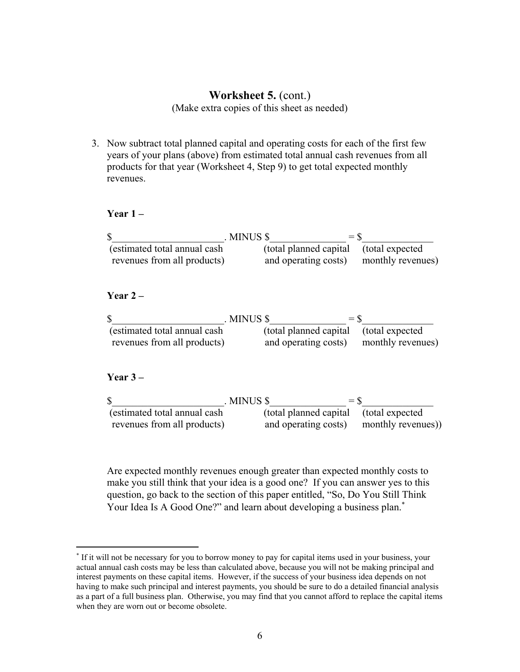# **Worksheet 5.** (cont.)

(Make extra copies of this sheet as needed)

3. Now subtract total planned capital and operating costs for each of the first few years of your plans (above) from estimated total annual cash revenues from all products for that year (Worksheet 4, Step 9) to get total expected monthly revenues.

# **Year 1 –**

|                               | . MINUS \$ | $=$ \$                                  |  |
|-------------------------------|------------|-----------------------------------------|--|
| (estimated total annual cash) |            | (total planned capital (total expected) |  |
| revenues from all products)   |            | and operating costs) monthly revenues)  |  |

# **Year 2 –**

|                               | . MINUS \$<br>$=$ \$                    |  |
|-------------------------------|-----------------------------------------|--|
| (estimated total annual cash) | (total planned capital (total expected) |  |
| revenues from all products)   | and operating costs) monthly revenues)  |  |

# **Year 3 –**

1

|                               | . MINUS \$                              | $=$ S             |
|-------------------------------|-----------------------------------------|-------------------|
| (estimated total annual cash) | (total planned capital (total expected) |                   |
| revenues from all products)   | and operating costs)                    | monthly revenues) |

Are expected monthly revenues enough greater than expected monthly costs to make you still think that your idea is a good one? If you can answer yes to this question, go back to the section of this paper entitled, "So, Do You Still Think Your Idea Is A Good One?" and learn about developing a business plan.<sup>∗</sup>

<sup>∗</sup> If it will not be necessary for you to borrow money to pay for capital items used in your business, your actual annual cash costs may be less than calculated above, because you will not be making principal and interest payments on these capital items. However, if the success of your business idea depends on not having to make such principal and interest payments, you should be sure to do a detailed financial analysis as a part of a full business plan. Otherwise, you may find that you cannot afford to replace the capital items when they are worn out or become obsolete.